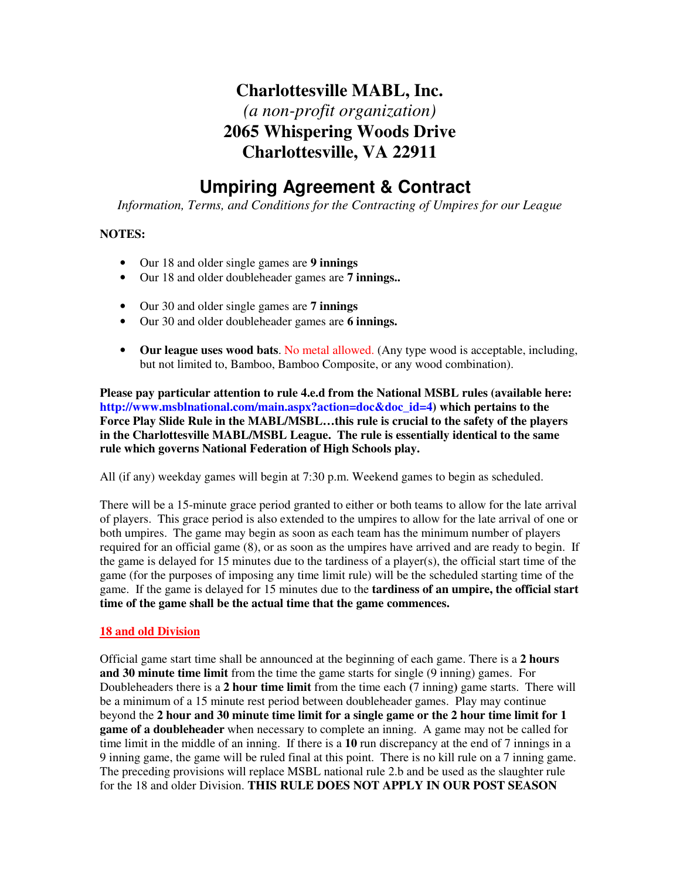## **Charlottesville MABL, Inc.**  *(a non-profit organization)*  **2065 Whispering Woods Drive Charlottesville, VA 22911**

# **Umpiring Agreement & Contract**

*Information, Terms, and Conditions for the Contracting of Umpires for our League* 

### **NOTES:**

- Our 18 and older single games are **9 innings**
- Our 18 and older doubleheader games are **7 innings..**
- Our 30 and older single games are **7 innings**
- Our 30 and older doubleheader games are **6 innings.**
- **Our league uses wood bats**. No metal allowed. (Any type wood is acceptable, including, but not limited to, Bamboo, Bamboo Composite, or any wood combination).

**Please pay particular attention to rule 4.e.d from the National MSBL rules (available here: http://www.msblnational.com/main.aspx?action=doc&doc\_id=4) which pertains to the Force Play Slide Rule in the MABL/MSBL…this rule is crucial to the safety of the players in the Charlottesville MABL/MSBL League. The rule is essentially identical to the same rule which governs National Federation of High Schools play.** 

All (if any) weekday games will begin at 7:30 p.m. Weekend games to begin as scheduled.

There will be a 15-minute grace period granted to either or both teams to allow for the late arrival of players. This grace period is also extended to the umpires to allow for the late arrival of one or both umpires. The game may begin as soon as each team has the minimum number of players required for an official game (8), or as soon as the umpires have arrived and are ready to begin. If the game is delayed for 15 minutes due to the tardiness of a player(s), the official start time of the game (for the purposes of imposing any time limit rule) will be the scheduled starting time of the game. If the game is delayed for 15 minutes due to the **tardiness of an umpire, the official start time of the game shall be the actual time that the game commences.**

#### **18 and old Division**

Official game start time shall be announced at the beginning of each game. There is a **2 hours and 30 minute time limit** from the time the game starts for single (9 inning) games. For Doubleheaders there is a **2 hour time limit** from the time each **(**7 inning**)** game starts. There will be a minimum of a 15 minute rest period between doubleheader games. Play may continue beyond the **2 hour and 30 minute time limit for a single game or the 2 hour time limit for 1 game of a doubleheader** when necessary to complete an inning. A game may not be called for time limit in the middle of an inning. If there is a **10** run discrepancy at the end of 7 innings in a 9 inning game, the game will be ruled final at this point. There is no kill rule on a 7 inning game. The preceding provisions will replace MSBL national rule 2.b and be used as the slaughter rule for the 18 and older Division. **THIS RULE DOES NOT APPLY IN OUR POST SEASON**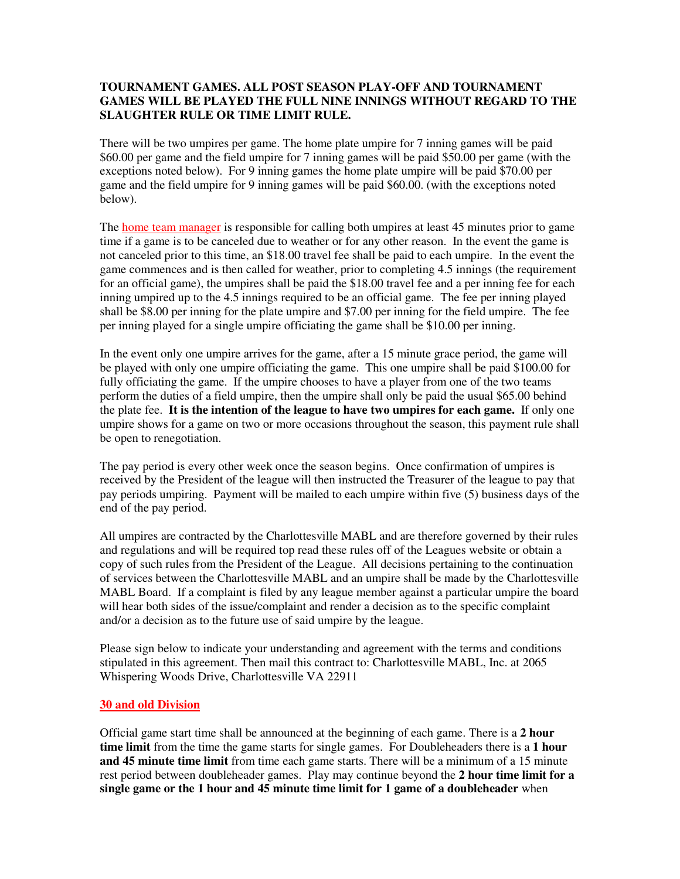#### **TOURNAMENT GAMES. ALL POST SEASON PLAY-OFF AND TOURNAMENT GAMES WILL BE PLAYED THE FULL NINE INNINGS WITHOUT REGARD TO THE SLAUGHTER RULE OR TIME LIMIT RULE.**

There will be two umpires per game. The home plate umpire for 7 inning games will be paid \$60.00 per game and the field umpire for 7 inning games will be paid \$50.00 per game (with the exceptions noted below). For 9 inning games the home plate umpire will be paid \$70.00 per game and the field umpire for 9 inning games will be paid \$60.00. (with the exceptions noted below).

The home team manager is responsible for calling both umpires at least 45 minutes prior to game time if a game is to be canceled due to weather or for any other reason. In the event the game is not canceled prior to this time, an \$18.00 travel fee shall be paid to each umpire. In the event the game commences and is then called for weather, prior to completing 4.5 innings (the requirement for an official game), the umpires shall be paid the \$18.00 travel fee and a per inning fee for each inning umpired up to the 4.5 innings required to be an official game. The fee per inning played shall be \$8.00 per inning for the plate umpire and \$7.00 per inning for the field umpire. The fee per inning played for a single umpire officiating the game shall be \$10.00 per inning.

In the event only one umpire arrives for the game, after a 15 minute grace period, the game will be played with only one umpire officiating the game. This one umpire shall be paid \$100.00 for fully officiating the game. If the umpire chooses to have a player from one of the two teams perform the duties of a field umpire, then the umpire shall only be paid the usual \$65.00 behind the plate fee. **It is the intention of the league to have two umpires for each game.** If only one umpire shows for a game on two or more occasions throughout the season, this payment rule shall be open to renegotiation.

The pay period is every other week once the season begins. Once confirmation of umpires is received by the President of the league will then instructed the Treasurer of the league to pay that pay periods umpiring. Payment will be mailed to each umpire within five (5) business days of the end of the pay period.

All umpires are contracted by the Charlottesville MABL and are therefore governed by their rules and regulations and will be required top read these rules off of the Leagues website or obtain a copy of such rules from the President of the League. All decisions pertaining to the continuation of services between the Charlottesville MABL and an umpire shall be made by the Charlottesville MABL Board. If a complaint is filed by any league member against a particular umpire the board will hear both sides of the issue/complaint and render a decision as to the specific complaint and/or a decision as to the future use of said umpire by the league.

Please sign below to indicate your understanding and agreement with the terms and conditions stipulated in this agreement. Then mail this contract to: Charlottesville MABL, Inc. at 2065 Whispering Woods Drive, Charlottesville VA 22911

#### **30 and old Division**

Official game start time shall be announced at the beginning of each game. There is a **2 hour time limit** from the time the game starts for single games. For Doubleheaders there is a **1 hour and 45 minute time limit** from time each game starts. There will be a minimum of a 15 minute rest period between doubleheader games. Play may continue beyond the **2 hour time limit for a single game or the 1 hour and 45 minute time limit for 1 game of a doubleheader** when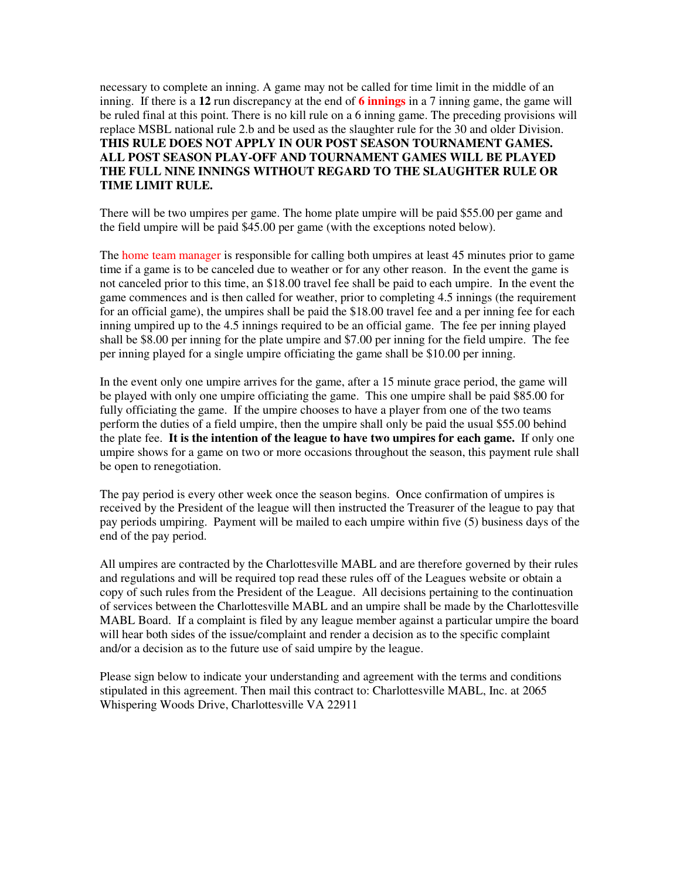necessary to complete an inning. A game may not be called for time limit in the middle of an inning. If there is a **12** run discrepancy at the end of **6 innings** in a 7 inning game, the game will be ruled final at this point. There is no kill rule on a 6 inning game. The preceding provisions will replace MSBL national rule 2.b and be used as the slaughter rule for the 30 and older Division. **THIS RULE DOES NOT APPLY IN OUR POST SEASON TOURNAMENT GAMES. ALL POST SEASON PLAY-OFF AND TOURNAMENT GAMES WILL BE PLAYED THE FULL NINE INNINGS WITHOUT REGARD TO THE SLAUGHTER RULE OR TIME LIMIT RULE.**

There will be two umpires per game. The home plate umpire will be paid \$55.00 per game and the field umpire will be paid \$45.00 per game (with the exceptions noted below).

The home team manager is responsible for calling both umpires at least 45 minutes prior to game time if a game is to be canceled due to weather or for any other reason. In the event the game is not canceled prior to this time, an \$18.00 travel fee shall be paid to each umpire. In the event the game commences and is then called for weather, prior to completing 4.5 innings (the requirement for an official game), the umpires shall be paid the \$18.00 travel fee and a per inning fee for each inning umpired up to the 4.5 innings required to be an official game. The fee per inning played shall be \$8.00 per inning for the plate umpire and \$7.00 per inning for the field umpire. The fee per inning played for a single umpire officiating the game shall be \$10.00 per inning.

In the event only one umpire arrives for the game, after a 15 minute grace period, the game will be played with only one umpire officiating the game. This one umpire shall be paid \$85.00 for fully officiating the game. If the umpire chooses to have a player from one of the two teams perform the duties of a field umpire, then the umpire shall only be paid the usual \$55.00 behind the plate fee. **It is the intention of the league to have two umpires for each game.** If only one umpire shows for a game on two or more occasions throughout the season, this payment rule shall be open to renegotiation.

The pay period is every other week once the season begins. Once confirmation of umpires is received by the President of the league will then instructed the Treasurer of the league to pay that pay periods umpiring. Payment will be mailed to each umpire within five (5) business days of the end of the pay period.

All umpires are contracted by the Charlottesville MABL and are therefore governed by their rules and regulations and will be required top read these rules off of the Leagues website or obtain a copy of such rules from the President of the League. All decisions pertaining to the continuation of services between the Charlottesville MABL and an umpire shall be made by the Charlottesville MABL Board. If a complaint is filed by any league member against a particular umpire the board will hear both sides of the issue/complaint and render a decision as to the specific complaint and/or a decision as to the future use of said umpire by the league.

Please sign below to indicate your understanding and agreement with the terms and conditions stipulated in this agreement. Then mail this contract to: Charlottesville MABL, Inc. at 2065 Whispering Woods Drive, Charlottesville VA 22911